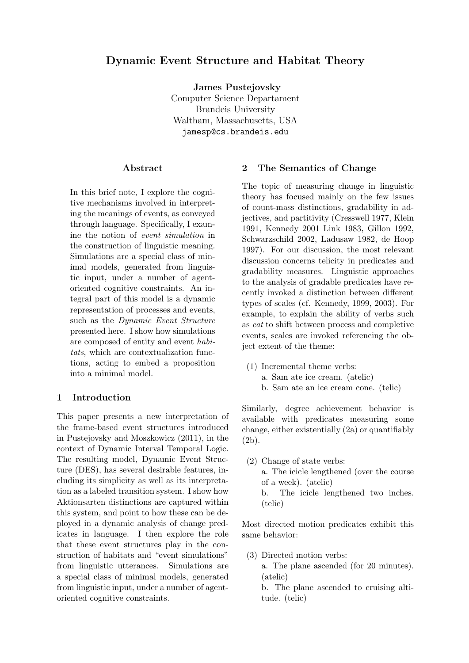# Dynamic Event Structure and Habitat Theory

James Pustejovsky Computer Science Departament Brandeis University Waltham, Massachusetts, USA jamesp@cs.brandeis.edu

## Abstract

In this brief note, I explore the cognitive mechanisms involved in interpreting the meanings of events, as conveyed through language. Specifically, I examine the notion of event simulation in the construction of linguistic meaning. Simulations are a special class of minimal models, generated from linguistic input, under a number of agentoriented cognitive constraints. An integral part of this model is a dynamic representation of processes and events, such as the *Dynamic Event Structure* presented here. I show how simulations are composed of entity and event habitats, which are contextualization functions, acting to embed a proposition into a minimal model.

### 1 Introduction

This paper presents a new interpretation of the frame-based event structures introduced in Pustejovsky and Moszkowicz (2011), in the context of Dynamic Interval Temporal Logic. The resulting model, Dynamic Event Structure (DES), has several desirable features, including its simplicity as well as its interpretation as a labeled transition system. I show how Aktionsarten distinctions are captured within this system, and point to how these can be deployed in a dynamic analysis of change predicates in language. I then explore the role that these event structures play in the construction of habitats and "event simulations" from linguistic utterances. Simulations are a special class of minimal models, generated from linguistic input, under a number of agentoriented cognitive constraints.

## 2 The Semantics of Change

The topic of measuring change in linguistic theory has focused mainly on the few issues of count-mass distinctions, gradability in adjectives, and partitivity (Cresswell 1977, Klein 1991, Kennedy 2001 Link 1983, Gillon 1992, Schwarzschild 2002, Ladusaw 1982, de Hoop 1997). For our discussion, the most relevant discussion concerns telicity in predicates and gradability measures. Linguistic approaches to the analysis of gradable predicates have recently invoked a distinction between different types of scales (cf. Kennedy, 1999, 2003). For example, to explain the ability of verbs such as eat to shift between process and completive events, scales are invoked referencing the object extent of the theme:

- (1) Incremental theme verbs:
	- a. Sam ate ice cream. (atelic)
	- b. Sam ate an ice cream cone. (telic)

Similarly, degree achievement behavior is available with predicates measuring some change, either existentially (2a) or quantifiably (2b).

(2) Change of state verbs: a. The icicle lengthened (over the course of a week). (atelic) b. The icicle lengthened two inches. (telic)

Most directed motion predicates exhibit this same behavior:

(3) Directed motion verbs:

a. The plane ascended (for 20 minutes). (atelic)

b. The plane ascended to cruising altitude. (telic)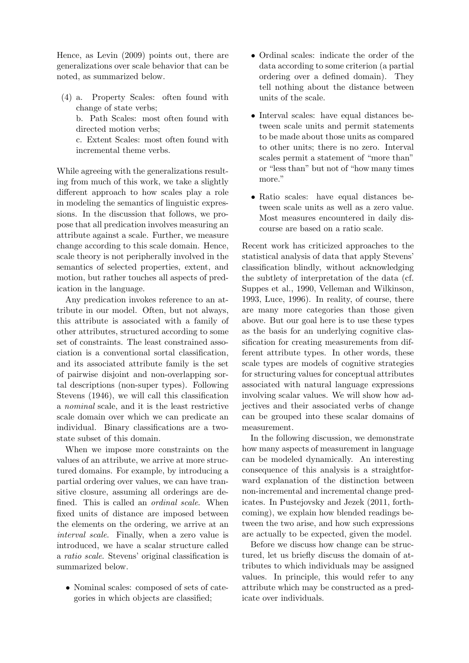Hence, as Levin (2009) points out, there are generalizations over scale behavior that can be noted, as summarized below.

(4) a. Property Scales: often found with change of state verbs;

b. Path Scales: most often found with directed motion verbs;

c. Extent Scales: most often found with incremental theme verbs.

While agreeing with the generalizations resulting from much of this work, we take a slightly different approach to how scales play a role in modeling the semantics of linguistic expressions. In the discussion that follows, we propose that all predication involves measuring an attribute against a scale. Further, we measure change according to this scale domain. Hence, scale theory is not peripherally involved in the semantics of selected properties, extent, and motion, but rather touches all aspects of predication in the language.

Any predication invokes reference to an attribute in our model. Often, but not always, this attribute is associated with a family of other attributes, structured according to some set of constraints. The least constrained association is a conventional sortal classification, and its associated attribute family is the set of pairwise disjoint and non-overlapping sortal descriptions (non-super types). Following Stevens (1946), we will call this classification a nominal scale, and it is the least restrictive scale domain over which we can predicate an individual. Binary classifications are a twostate subset of this domain.

When we impose more constraints on the values of an attribute, we arrive at more structured domains. For example, by introducing a partial ordering over values, we can have transitive closure, assuming all orderings are defined. This is called an ordinal scale. When fixed units of distance are imposed between the elements on the ordering, we arrive at an interval scale. Finally, when a zero value is introduced, we have a scalar structure called a ratio scale. Stevens' original classification is summarized below.

• Nominal scales: composed of sets of categories in which objects are classified;

- Ordinal scales: indicate the order of the data according to some criterion (a partial ordering over a defined domain). They tell nothing about the distance between units of the scale.
- Interval scales: have equal distances between scale units and permit statements to be made about those units as compared to other units; there is no zero. Interval scales permit a statement of "more than" or "less than" but not of "how many times more."
- Ratio scales: have equal distances between scale units as well as a zero value. Most measures encountered in daily discourse are based on a ratio scale.

Recent work has criticized approaches to the statistical analysis of data that apply Stevens' classification blindly, without acknowledging the subtlety of interpretation of the data (cf. Suppes et al., 1990, Velleman and Wilkinson, 1993, Luce, 1996). In reality, of course, there are many more categories than those given above. But our goal here is to use these types as the basis for an underlying cognitive classification for creating measurements from different attribute types. In other words, these scale types are models of cognitive strategies for structuring values for conceptual attributes associated with natural language expressions involving scalar values. We will show how adjectives and their associated verbs of change can be grouped into these scalar domains of measurement.

In the following discussion, we demonstrate how many aspects of measurement in language can be modeled dynamically. An interesting consequence of this analysis is a straightforward explanation of the distinction between non-incremental and incremental change predicates. In Pustejovsky and Jezek (2011, forthcoming), we explain how blended readings between the two arise, and how such expressions are actually to be expected, given the model.

Before we discuss how change can be structured, let us briefly discuss the domain of attributes to which individuals may be assigned values. In principle, this would refer to any attribute which may be constructed as a predicate over individuals.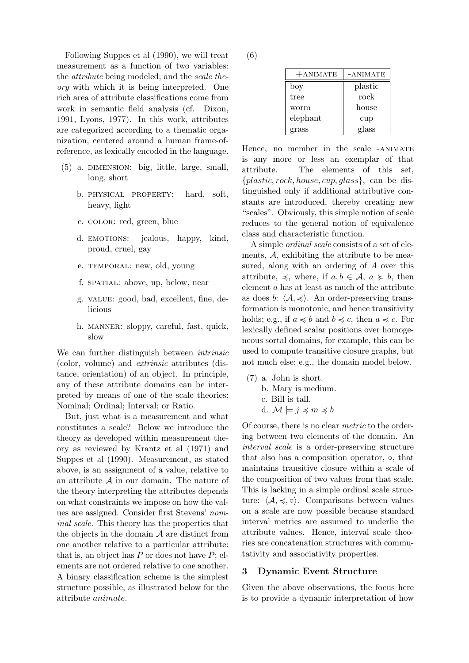Following Suppes et al (1990), we will treat measurement as a function of two variables: the attribute being modeled; and the scale theory with which it is being interpreted. One rich area of attribute classifications come from work in semantic field analysis (cf. Dixon, 1991, Lyons, 1977). In this work, attributes are categorized according to a thematic organization, centered around a human frame-ofreference, as lexically encoded in the language.

- (5) a. dimension: big, little, large, small, long, short
	- b. physical property: hard, soft, heavy, light
	- c. color: red, green, blue
	- d. EMOTIONS: jealous, happy, kind, proud, cruel, gay
	- e. TEMPORAL: new, old, young
	- f. SPATIAL: above, up, below, near
	- g. value: good, bad, excellent, fine, delicious
	- h. manner: sloppy, careful, fast, quick, slow

We can further distinguish between *intrinsic* (color, volume) and extrinsic attributes (distance, orientation) of an object. In principle, any of these attribute domains can be interpreted by means of one of the scale theories: Nominal; Ordinal; Interval; or Ratio.

But, just what is a measurement and what constitutes a scale? Below we introduce the theory as developed within measurement theory as reviewed by Krantz et al (1971) and Suppes et al (1990). Measurement, as stated above, is an assignment of a value, relative to an attribute  $A$  in our domain. The nature of the theory interpreting the attributes depends on what constraints we impose on how the values are assigned. Consider first Stevens' nominal scale. This theory has the properties that the objects in the domain  $A$  are distinct from one another relative to a particular attribute: that is, an object has  $P$  or does not have  $P$ ; elements are not ordered relative to one another. A binary classification scheme is the simplest structure possible, as illustrated below for the attribute animate.

(6)

| $+$ ANIMATE | -ANIMATE |
|-------------|----------|
| boy         | plastic  |
| tree        | rock     |
| worm        | house    |
| elephant    | cup      |
| grass       | glass    |

Hence, no member in the scale -ANIMATE is any more or less an exemplar of that attribute. The elements of this set,  ${plastic, rock, house, cup, glass}$ , can be distinguished only if additional attributive constants are introduced, thereby creating new "scales". Obviously, this simple notion of scale reduces to the general notion of equivalence class and characteristic function.

A simple ordinal scale consists of a set of elements,  $A$ , exhibiting the attribute to be measured, along with an ordering of A over this attribute,  $\preccurlyeq$ , where, if  $a, b \in \mathcal{A}$ ,  $a \succcurlyeq b$ , then element a has at least as much of the attribute as does b:  $\langle A, \preccurlyeq \rangle$ . An order-preserving transformation is monotonic, and hence transitivity holds; e.g., if  $a \preccurlyeq b$  and  $b \preccurlyeq c$ , then  $a \preccurlyeq c$ . For lexically defined scalar positions over homogeneous sortal domains, for example, this can be used to compute transitive closure graphs, but not much else; e.g., the domain model below.

- (7) a. John is short.
	- b. Mary is medium.
	- c. Bill is tall.
	- d.  $\mathcal{M} \models j \preccurlyeq m \preccurlyeq b$

Of course, there is no clear metric to the ordering between two elements of the domain. An interval scale is a order-preserving structure that also has a composition operator, ◦, that maintains transitive closure within a scale of the composition of two values from that scale. This is lacking in a simple ordinal scale structure:  $\langle A, \preccurlyeq, \diamond \rangle$ . Comparisons between values on a scale are now possible because standard interval metrics are assumed to underlie the attribute values. Hence, interval scale theories are concatenation structures with commutativity and associativity properties.

#### 3 Dynamic Event Structure

Given the above observations, the focus here is to provide a dynamic interpretation of how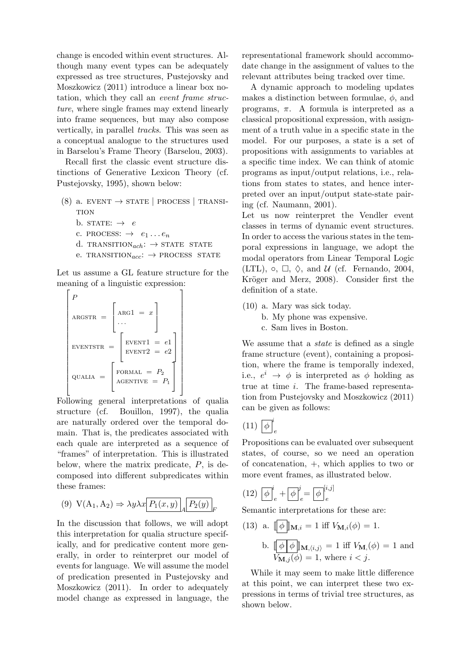change is encoded within event structures. Although many event types can be adequately expressed as tree structures, Pustejovsky and Moszkowicz (2011) introduce a linear box notation, which they call an event frame structure, where single frames may extend linearly into frame sequences, but may also compose vertically, in parallel tracks. This was seen as a conceptual analogue to the structures used in Barselou's Frame Theory (Barselou, 2003).

Recall first the classic event structure distinctions of Generative Lexicon Theory (cf. Pustejovsky, 1995), shown below:

- $(8)$  a. EVENT  $\rightarrow$  STATE | PROCESS | TRANSI-**TION** 
	- b. STATE:  $\rightarrow e$
	- c. PROCESS:  $\rightarrow e_1 \dots e_n$
	- d. TRANSITION $_{ach}:$   $\rightarrow$  STATE STATE
	- e. TRANSITION $_{acc}: \rightarrow$  PROCESS STATE

Let us assume a GL feature structure for the meaning of a linguistic expression:

$$
\begin{bmatrix}\nP \\
\text{ARGSTR} = \begin{bmatrix}\n\text{ARG1} = x \\
\cdots \\
\text{EVENTSTR}\n\end{bmatrix} \\
\text{EVENTSTR} = \begin{bmatrix}\n\text{EVENT1} = e1 \\
\text{EVENT2} = e2 \\
\text{QUALIA} = \begin{bmatrix}\n\text{FORMAL} = P_2 \\
\text{AGENTIVE} = P_1\n\end{bmatrix}\n\end{bmatrix}
$$

Following general interpretations of qualia structure (cf. Bouillon, 1997), the qualia are naturally ordered over the temporal domain. That is, the predicates associated with each quale are interpreted as a sequence of "frames" of interpretation. This is illustrated below, where the matrix predicate,  $P$ , is decomposed into different subpredicates within these frames:

(9) 
$$
V(A_1, A_2) \Rightarrow \lambda y \lambda x \boxed{P_1(x, y)} \boxed{P_2(y)}_F
$$

In the discussion that follows, we will adopt this interpretation for qualia structure specifically, and for predicative content more generally, in order to reinterpret our model of events for language. We will assume the model of predication presented in Pustejovsky and Moszkowicz (2011). In order to adequately model change as expressed in language, the representational framework should accommodate change in the assignment of values to the relevant attributes being tracked over time.

A dynamic approach to modeling updates makes a distinction between formulae,  $\phi$ , and programs,  $\pi$ . A formula is interpreted as a classical propositional expression, with assignment of a truth value in a specific state in the model. For our purposes, a state is a set of propositions with assignments to variables at a specific time index. We can think of atomic programs as input/output relations, i.e., relations from states to states, and hence interpreted over an input/output state-state pairing (cf. Naumann, 2001).

Let us now reinterpret the Vendler event classes in terms of dynamic event structures. In order to access the various states in the temporal expressions in language, we adopt the modal operators from Linear Temporal Logic (LTL),  $\circ$ ,  $\Box$ ,  $\Diamond$ , and  $\mathcal{U}$  (cf. Fernando, 2004, Kröger and Merz, 2008). Consider first the definition of a state.

- (10) a. Mary was sick today.
	- b. My phone was expensive.
	- c. Sam lives in Boston.

We assume that a *state* is defined as a single frame structure (event), containing a proposition, where the frame is temporally indexed, i.e.,  $e^i \rightarrow \phi$  is interpreted as  $\phi$  holding as true at time i. The frame-based representation from Pustejovsky and Moszkowicz (2011) can be given as follows:

$$
(11)\,\left[\overline{\phi}\right]^i_e
$$

Propositions can be evaluated over subsequent states, of course, so we need an operation of concatenation, +, which applies to two or more event frames, as illustrated below.

$$
(12)\ \overline{\left[\phi\right]}_e^i + \overline{\left[\phi\right]}_e^j = \overline{\left[\phi\right]}_e^{[i,j]}
$$

Semantic interpretations for these are:

(13) a. 
$$
\llbracket \phi \rrbracket_{\mathbf{M},i} = 1
$$
 iff  $V_{\mathbf{M},i}(\phi) = 1$ . \nb.  $\llbracket \phi \rfloor \phi \rrbracket_{\mathbf{M},\langle i,j \rangle} = 1$  iff  $V_{\mathbf{M},\langle \phi \rangle} = 1$  and  $V_{\mathbf{M},j}(\phi) = 1$ , where  $i < j$ .

While it may seem to make little difference at this point, we can interpret these two expressions in terms of trivial tree structures, as shown below.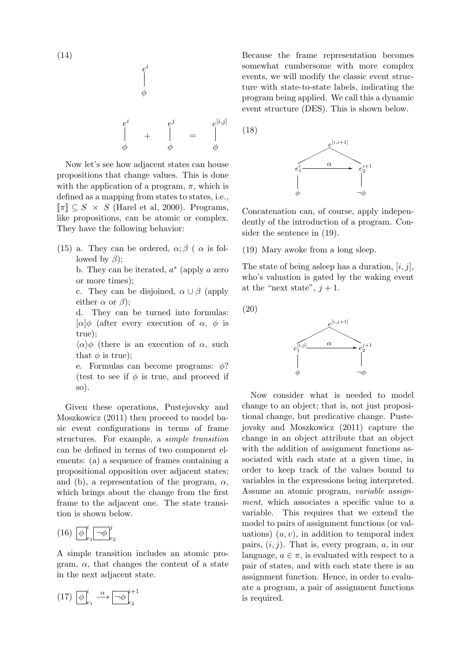$$
f_{\rm{max}}
$$

$$
\frac{\mid}{\phi}
$$

 $e^i$ 

e i φ  $+$ e j φ = e  $[i,j]$ φ

Now let's see how adjacent states can house propositions that change values. This is done with the application of a program,  $\pi$ , which is defined as a mapping from states to states, i.e.,  $\llbracket \pi \rrbracket \subseteq S \times S$  (Harel et al, 2000). Programs, like propositions, can be atomic or complex. They have the following behavior:

- (15) a. They can be ordered,  $\alpha$ ;  $\beta$  (  $\alpha$  is followed by  $\beta$ );
	- b. They can be iterated,  $a^*$  (apply a zero or more times);
	- c. They can be disjoined,  $\alpha \cup \beta$  (apply either  $\alpha$  or  $\beta$ );
	- d. They can be turned into formulas:  $[\alpha]\phi$  (after every execution of  $\alpha$ ,  $\phi$  is true);
	- $\langle \alpha \rangle \phi$  (there is an execution of  $\alpha$ , such that  $\phi$  is true);
	- e. Formulas can become programs:  $\phi$ ? (test to see if  $\phi$  is true, and proceed if so).

Given these operations, Pustejovsky and Moszkowicz (2011) then proceed to model basic event configurations in terms of frame structures. For example, a simple transition can be defined in terms of two component elements: (a) a sequence of frames containing a propositional opposition over adjacent states; and (b), a representation of the program,  $\alpha$ , which brings about the change from the first frame to the adjacent one. The state transition is shown below.

$$
(16)\;\left[\overline{\phi}\right]^i_{e_1}\left[\overline{\neg\phi}\right]^j_{e_2}
$$

A simple transition includes an atomic program,  $\alpha$ , that changes the content of a state in the next adjacent state.

$$
(17) \begin{bmatrix} \phi \end{bmatrix}_{e_1}^i \xrightarrow{\alpha} \boxed{\neg \phi}_{e_2}^{i+1}
$$

Because the frame representation becomes somewhat cumbersome with more complex events, we will modify the classic event structure with state-to-state labels, indicating the program being applied. We call this a dynamic event structure (DES). This is shown below.

(18)



Concatenation can, of course, apply independently of the introduction of a program. Consider the sentence in (19).

(19) Mary awoke from a long sleep.

The state of being asleep has a duration,  $[i, j]$ , who's valuation is gated by the waking event at the "next state",  $j + 1$ .

(20)



Now consider what is needed to model change to an object; that is, not just propositional change, but predicative change. Pustejovsky and Moszkowicz (2011) capture the change in an object attribute that an object with the addition of assignment functions associated with each state at a given time, in order to keep track of the values bound to variables in the expressions being interpreted. Assume an atomic program, variable assignment, which associates a specific value to a variable. This requires that we extend the model to pairs of assignment functions (or valuations)  $(u, v)$ , in addition to temporal index pairs,  $(i, j)$ . That is, every program,  $a$ , in our language,  $a \in \pi$ , is evaluated with respect to a pair of states, and with each state there is an assignment function. Hence, in order to evaluate a program, a pair of assignment functions is required.

(14)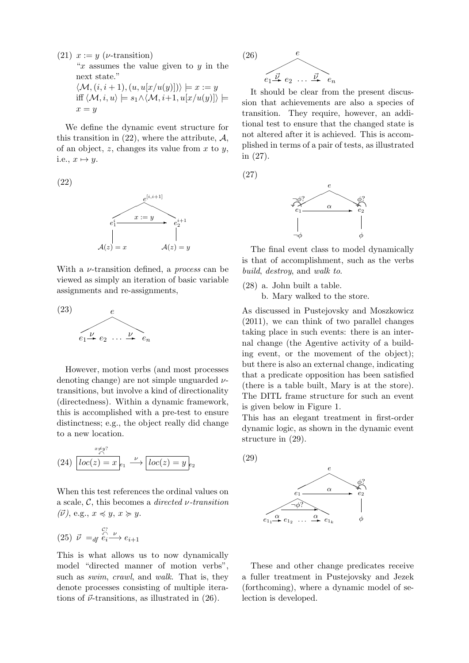(21)  $x := y$  (*v*-transition) " $x$  assumes the value given to  $y$  in the next state."  $\langle \mathcal{M}, (i, i + 1), (u, u[x/u(y)]) \rangle \models x := y$ iff  $\langle \mathcal{M}, i, u \rangle \models s_1 \land \langle \mathcal{M}, i+1, u[x/u(y)] \rangle \models$  $x = y$ 

We define the dynamic event structure for this transition in  $(22)$ , where the attribute,  $\mathcal{A}$ , of an object,  $z$ , changes its value from  $x$  to  $y$ , i.e.,  $x \mapsto y$ .

(22)



With a  $\nu$ -transition defined, a *process* can be viewed as simply an iteration of basic variable assignments and re-assignments,



However, motion verbs (and most processes denoting change) are not simple unguarded  $\nu$ transitions, but involve a kind of directionality (directedness). Within a dynamic framework, this is accomplished with a pre-test to ensure distinctness; e.g., the object really did change to a new location.

(24) 
$$
\frac{x \neq y^2}{loc(z) = x}_{e_1} \xrightarrow{\nu} \boxed{loc(z) = y}_{e_2}
$$

When this test references the ordinal values on a scale,  $\mathcal{C}$ , this becomes a *directed v*-transition  $(\vec{\nu})$ , e.g.,  $x \preccurlyeq y, x \succcurlyeq y$ .

$$
(25) \ \vec{\nu} =_{df} \stackrel{\mathcal{C}_?}{\stackrel{\mathcal{C}_1}{\longrightarrow}} e_{i+1}
$$

This is what allows us to now dynamically model "directed manner of motion verbs", such as swim, crawl, and walk. That is, they denote processes consisting of multiple iterations of  $\vec{\nu}$ -transitions, as illustrated in (26).



It should be clear from the present discussion that achievements are also a species of transition. They require, however, an additional test to ensure that the changed state is not altered after it is achieved. This is accomplished in terms of a pair of tests, as illustrated in (27).

(27)



The final event class to model dynamically is that of accomplishment, such as the verbs build, destroy, and walk to.

- (28) a. John built a table.
	- b. Mary walked to the store.

As discussed in Pustejovsky and Moszkowicz (2011), we can think of two parallel changes taking place in such events: there is an internal change (the Agentive activity of a building event, or the movement of the object); but there is also an external change, indicating that a predicate opposition has been satisfied (there is a table built, Mary is at the store). The DITL frame structure for such an event is given below in Figure 1.

This has an elegant treatment in first-order dynamic logic, as shown in the dynamic event structure in (29).





These and other change predicates receive a fuller treatment in Pustejovsky and Jezek (forthcoming), where a dynamic model of selection is developed.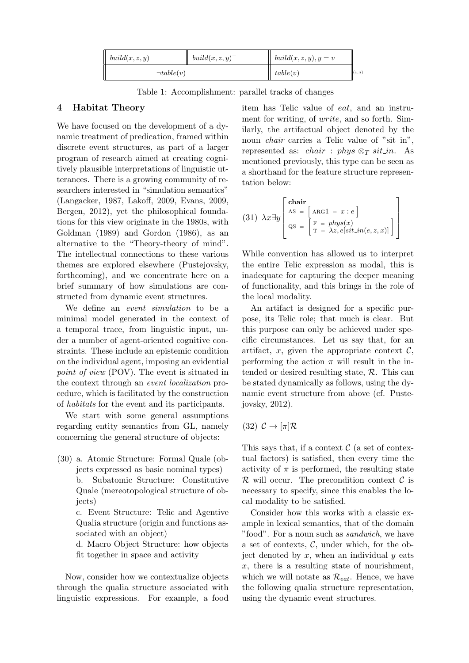| build(x, z, y)  | $buid(x, z, y)^+$ | $build(x, z, y), y = v$ |                        |
|-----------------|-------------------|-------------------------|------------------------|
| $\neg table(v)$ |                   | table(v)                | $ \langle i,j \rangle$ |

Table 1: Accomplishment: parallel tracks of changes

## 4 Habitat Theory

We have focused on the development of a dynamic treatment of predication, framed within discrete event structures, as part of a larger program of research aimed at creating cognitively plausible interpretations of linguistic utterances. There is a growing community of researchers interested in "simulation semantics" (Langacker, 1987, Lakoff, 2009, Evans, 2009, Bergen, 2012), yet the philosophical foundations for this view originate in the 1980s, with Goldman (1989) and Gordon (1986), as an alternative to the "Theory-theory of mind". The intellectual connections to these various themes are explored elsewhere (Pustejovsky, forthcoming), and we concentrate here on a brief summary of how simulations are constructed from dynamic event structures.

We define an event simulation to be a minimal model generated in the context of a temporal trace, from linguistic input, under a number of agent-oriented cognitive constraints. These include an epistemic condition on the individual agent, imposing an evidential point of view (POV). The event is situated in the context through an event localization procedure, which is facilitated by the construction of habitats for the event and its participants.

We start with some general assumptions regarding entity semantics from GL, namely concerning the general structure of objects:

(30) a. Atomic Structure: Formal Quale (objects expressed as basic nominal types) b. Subatomic Structure: Constitutive Quale (mereotopological structure of objects) c. Event Structure: Telic and Agentive

Qualia structure (origin and functions associated with an object)

d. Macro Object Structure: how objects fit together in space and activity

Now, consider how we contextualize objects through the qualia structure associated with linguistic expressions. For example, a food item has Telic value of eat, and an instrument for writing, of write, and so forth. Similarly, the artifactual object denoted by the noun *chair* carries a Telic value of "sit in", represented as: *chair* : *phys*  $\otimes_T$  *sit\_in*. As mentioned previously, this type can be seen as a shorthand for the feature structure representation below:

(31) 
$$
\lambda x \exists y \begin{bmatrix} \text{chair} \\ \text{AS} = \begin{bmatrix} \text{ARG1} = x : e \\ \text{qs} = \begin{bmatrix} \text{F} = \text{phys}(x) \\ \text{T} = \lambda z, e[\text{sit\_in}(e, z, x)] \end{bmatrix} \end{bmatrix}
$$

While convention has allowed us to interpret the entire Telic expression as modal, this is inadequate for capturing the deeper meaning of functionality, and this brings in the role of the local modality.

An artifact is designed for a specific purpose, its Telic role; that much is clear. But this purpose can only be achieved under specific circumstances. Let us say that, for an artifact, x, given the appropriate context  $\mathcal{C}$ , performing the action  $\pi$  will result in the intended or desired resulting state, R. This can be stated dynamically as follows, using the dynamic event structure from above (cf. Pustejovsky, 2012).

(32)  $\mathcal{C} \rightarrow [\pi] \mathcal{R}$ 

This says that, if a context  $\mathcal C$  (a set of contextual factors) is satisfied, then every time the activity of  $\pi$  is performed, the resulting state  $\mathcal R$  will occur. The precondition context  $\mathcal C$  is necessary to specify, since this enables the local modality to be satisfied.

Consider how this works with a classic example in lexical semantics, that of the domain "food". For a noun such as sandwich, we have a set of contexts,  $\mathcal{C}$ , under which, for the object denoted by  $x$ , when an individual  $y$  eats  $x$ , there is a resulting state of nourishment, which we will notate as  $\mathcal{R}_{eat}$ . Hence, we have the following qualia structure representation, using the dynamic event structures.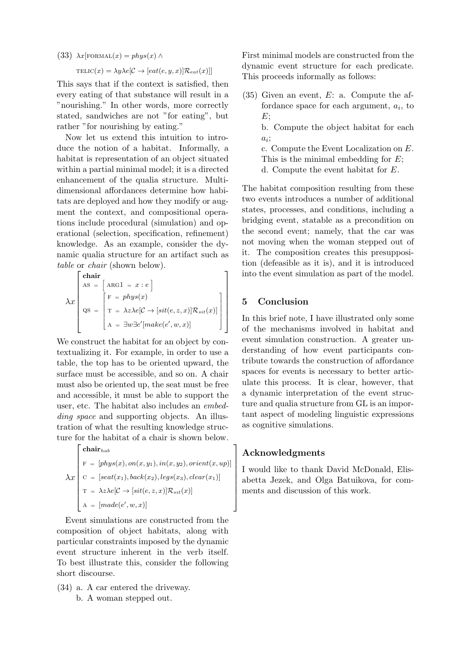(33)  $\lambda x$ [FORMAL $(x) = phys(x)$  ∧

 $TELIC(x) = \lambda y \lambda e[\mathcal{C} \rightarrow [eat(e, y, x)] \mathcal{R}_{eat}(x)]$ 

This says that if the context is satisfied, then every eating of that substance will result in a "nourishing." In other words, more correctly stated, sandwiches are not "for eating", but rather "for nourishing by eating."

Now let us extend this intuition to introduce the notion of a habitat. Informally, a habitat is representation of an object situated within a partial minimal model; it is a directed enhancement of the qualia structure. Multidimensional affordances determine how habitats are deployed and how they modify or augment the context, and compositional operations include procedural (simulation) and operational (selection, specification, refinement) knowledge. As an example, consider the dynamic qualia structure for an artifact such as table or chair (shown below).

$$
\lambda x \begin{bmatrix} \textbf{chair} \\ \text{AS} = \begin{bmatrix} \text{ARG1} = x : e \end{bmatrix} \\ \text{QS} = \begin{bmatrix} F = phys(x) \\ T = \lambda z \lambda e[C \rightarrow [sit(e, z, x)] \mathcal{R}_{sit}(x)] \\ A = \exists w \exists e'[make(e', w, x)] \end{bmatrix} \end{bmatrix}
$$

We construct the habitat for an object by contextualizing it. For example, in order to use a table, the top has to be oriented upward, the surface must be accessible, and so on. A chair must also be oriented up, the seat must be free and accessible, it must be able to support the user, etc. The habitat also includes an embedding space and supporting objects. An illustration of what the resulting knowledge structure for the habitat of a chair is shown below.

$$
\lambda x \begin{bmatrix}\n\text{chair}_{hab} \\
\text{F} = [phys(x), on(x, y_1), in(x, y_2), orient(x, up)] \\
\text{C} = [seat(x_1), back(x_2), legs(x_3), clear(x_1)] \\
\text{T} = \lambda z \lambda e[\mathcal{C} \rightarrow [sit(e, z, x)] \mathcal{R}_{sit}(x)] \\
\text{A} = [made(e', w, x)]\n\end{bmatrix}
$$

Event simulations are constructed from the composition of object habitats, along with particular constraints imposed by the dynamic event structure inherent in the verb itself. To best illustrate this, consider the following short discourse.

(34) a. A car entered the driveway. b. A woman stepped out.

First minimal models are constructed from the dynamic event structure for each predicate. This proceeds informally as follows:

- (35) Given an event, E: a. Compute the affordance space for each argument,  $a_i$ , to  $E$ :
	- b. Compute the object habitat for each  $a_i;$
	- c. Compute the Event Localization on E. This is the minimal embedding for  $E$ ; d. Compute the event habitat for E.

The habitat composition resulting from these two events introduces a number of additional states, processes, and conditions, including a bridging event, statable as a precondition on the second event; namely, that the car was not moving when the woman stepped out of it. The composition creates this presupposition (defeasible as it is), and it is introduced into the event simulation as part of the model.

## 5 Conclusion

In this brief note, I have illustrated only some of the mechanisms involved in habitat and event simulation construction. A greater understanding of how event participants contribute towards the construction of affordance spaces for events is necessary to better articulate this process. It is clear, however, that a dynamic interpretation of the event structure and qualia structure from GL is an important aspect of modeling linguistic expressions as cognitive simulations.

## Acknowledgments

I would like to thank David McDonald, Elisabetta Jezek, and Olga Batuikova, for comments and discussion of this work.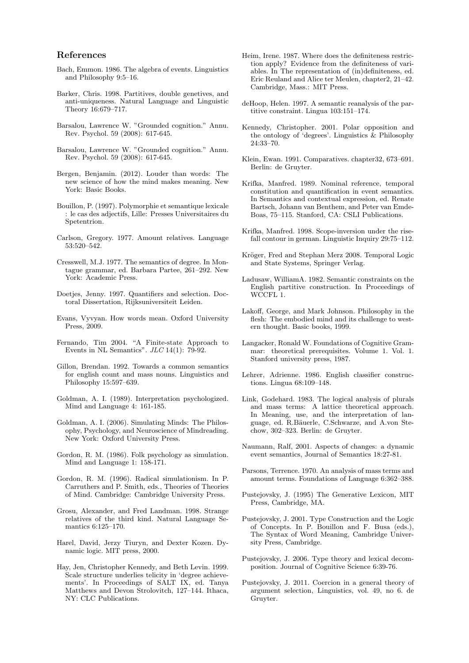#### References

- Bach, Emmon. 1986. The algebra of events. Linguistics and Philosophy 9:5–16.
- Barker, Chris. 1998. Partitives, double genetives, and anti-uniqueness. Natural Language and Linguistic Theory 16:679–717.
- Barsalou, Lawrence W. "Grounded cognition." Annu. Rev. Psychol. 59 (2008): 617-645.
- Barsalou, Lawrence W. "Grounded cognition." Annu. Rev. Psychol. 59 (2008): 617-645.
- Bergen, Benjamin. (2012). Louder than words: The new science of how the mind makes meaning. New York: Basic Books.
- Bouillon, P. (1997). Polymorphie et semantique lexicale : le cas des adjectifs, Lille: Presses Universitaires du Spetentrion.
- Carlson, Gregory. 1977. Amount relatives. Language 53:520–542.
- Cresswell, M.J. 1977. The semantics of degree. In Montague grammar, ed. Barbara Partee, 261–292. New York: Academic Press.
- Doetjes, Jenny. 1997. Quantifiers and selection. Doctoral Dissertation, Rijksuniversiteit Leiden.
- Evans, Vyvyan. How words mean. Oxford University Press, 2009.
- Fernando, Tim 2004. "A Finite-state Approach to Events in NL Semantics".  $JLC$  14(1): 79-92.
- Gillon, Brendan. 1992. Towards a common semantics for english count and mass nouns. Linguistics and Philosophy 15:597–639.
- Goldman, A. I. (1989). Interpretation psychologized. Mind and Language 4: 161-185.
- Goldman, A. I. (2006). Simulating Minds: The Philosophy, Psychology, and Neuroscience of Mindreading. New York: Oxford University Press.
- Gordon, R. M. (1986). Folk psychology as simulation. Mind and Language 1: 158-171.
- Gordon, R. M. (1996). Radical simulationism. In P. Carruthers and P. Smith, eds., Theories of Theories of Mind. Cambridge: Cambridge University Press.
- Grosu, Alexander, and Fred Landman. 1998. Strange relatives of the third kind. Natural Language Semantics 6:125–170.
- Harel, David, Jerzy Tiuryn, and Dexter Kozen. Dynamic logic. MIT press, 2000.
- Hay, Jen, Christopher Kennedy, and Beth Levin. 1999. Scale structure underlies telicity in 'degree achievements'. In Proceedings of SALT IX, ed. Tanya Matthews and Devon Strolovitch, 127–144. Ithaca, NY: CLC Publications.
- Heim, Irene. 1987. Where does the definiteness restriction apply? Evidence from the definiteness of variables. In The representation of (in)definiteness, ed. Eric Reuland and Alice ter Meulen, chapter2, 21–42. Cambridge, Mass.: MIT Press.
- deHoop, Helen. 1997. A semantic reanalysis of the partitive constraint. Lingua 103:151–174.
- Kennedy, Christopher. 2001. Polar opposition and the ontology of 'degrees'. Linguistics  $\&$  Philosophy 24:33–70.
- Klein, Ewan. 1991. Comparatives. chapter32, 673–691. Berlin: de Gruyter.
- Krifka, Manfred. 1989. Nominal reference, temporal constitution and quantification in event semantics. In Semantics and contextual expression, ed. Renate Bartsch, Johann van Benthem, and Peter van Emde-Boas, 75–115. Stanford, CA: CSLI Publications.
- Krifka, Manfred. 1998. Scope-inversion under the risefall contour in german. Linguistic Inquiry 29:75–112.
- Kröger, Fred and Stephan Merz 2008. Temporal Logic and State Systems, Springer Verlag.
- Ladusaw, WilliamA. 1982. Semantic constraints on the English partitive construction. In Proceedings of WCCFL 1.
- Lakoff, George, and Mark Johnson. Philosophy in the flesh: The embodied mind and its challenge to western thought. Basic books, 1999.
- Langacker, Ronald W. Foundations of Cognitive Grammar: theoretical prerequisites. Volume 1. Vol. 1. Stanford university press, 1987.
- Lehrer, Adrienne. 1986. English classifier constructions. Lingua 68:109–148.
- Link, Godehard. 1983. The logical analysis of plurals and mass terms: A lattice theoretical approach. In Meaning, use, and the interpretation of language, ed. R.Bäuerle, C.Schwarze, and A.von Stechow, 302–323. Berlin: de Gruyter.
- Naumann, Ralf, 2001. Aspects of changes: a dynamic event semantics, Journal of Semantics 18:27-81.
- Parsons, Terrence. 1970. An analysis of mass terms and amount terms. Foundations of Language 6:362–388.
- Pustejovsky, J. (1995) The Generative Lexicon, MIT Press, Cambridge, MA.
- Pustejovsky, J. 2001. Type Construction and the Logic of Concepts. In P. Bouillon and F. Busa (eds.), The Syntax of Word Meaning, Cambridge University Press, Cambridge.
- Pustejovsky, J. 2006. Type theory and lexical decomposition. Journal of Cognitive Science 6:39-76.
- Pustejovsky, J. 2011. Coercion in a general theory of argument selection, Linguistics, vol. 49, no 6. de Gruyter.